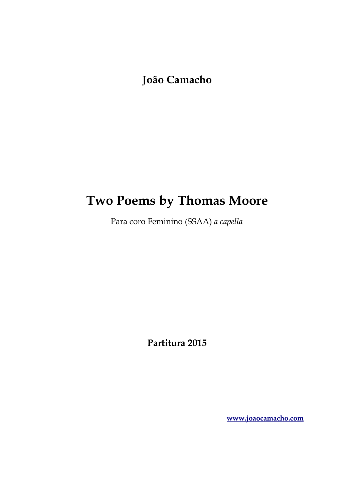**João Camacho**

## **Two Poems by Thomas Moore**

Para coro Feminino (SSAA) *a capella*

**Partitura 2015**

**[www.joaocamacho.com](https://www.joaocamacho.com/)**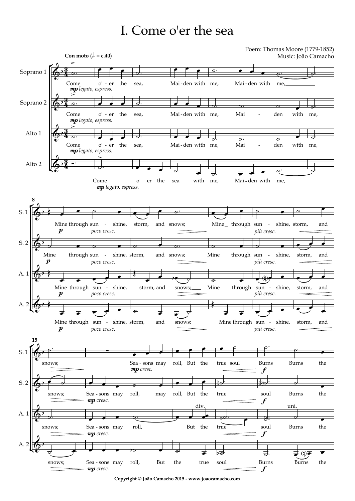## I. Come o'er the sea



**Copyright © João Camacho 2015 - www.joaocamacho.com**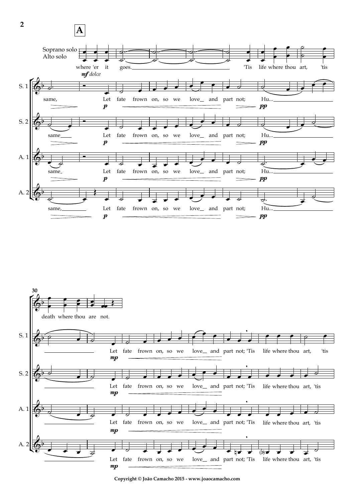



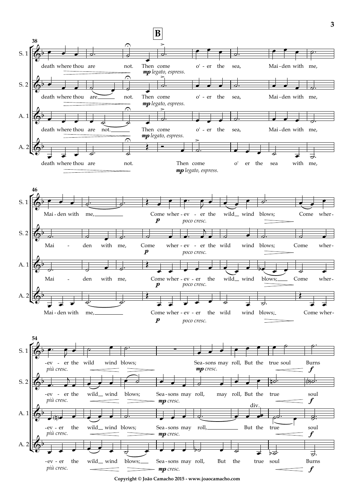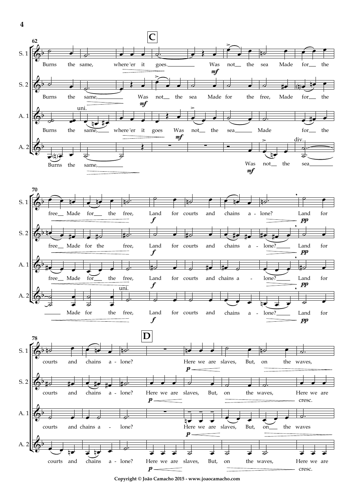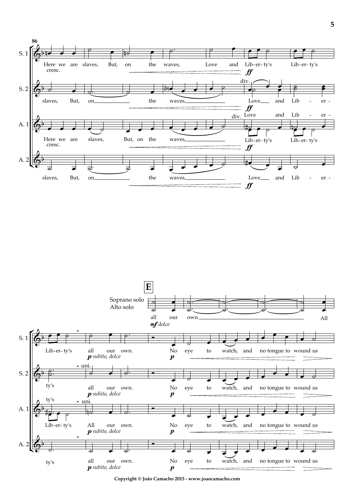



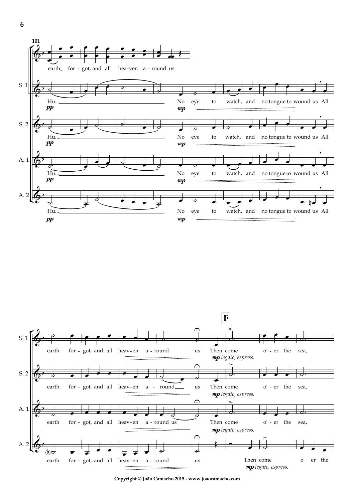



**Copyright © João Camacho 2015 - www.joaocamacho.com**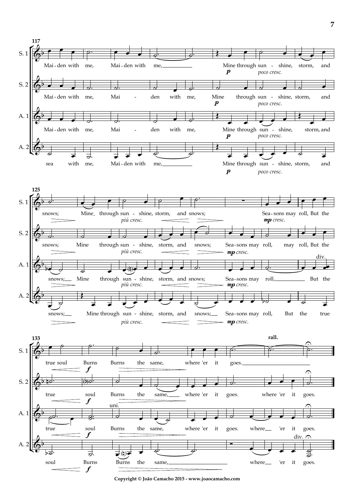

**Copyright © João Camacho 2015 - www.joaocamacho.com**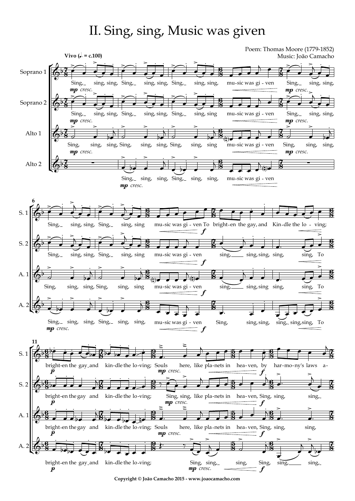## II. Sing, sing, Music was given



**Copyright © João Camacho 2015 - www.joaocamacho.com**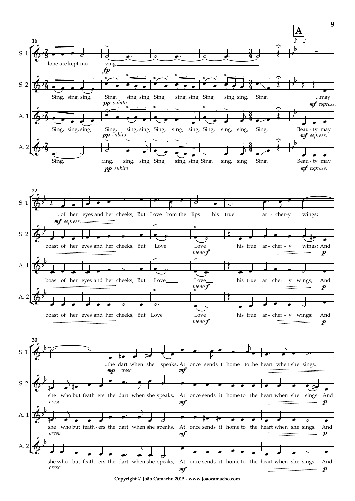

**9**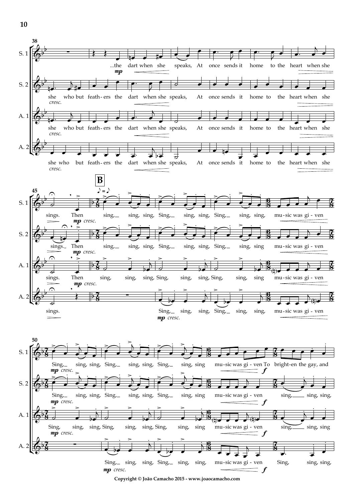

**10**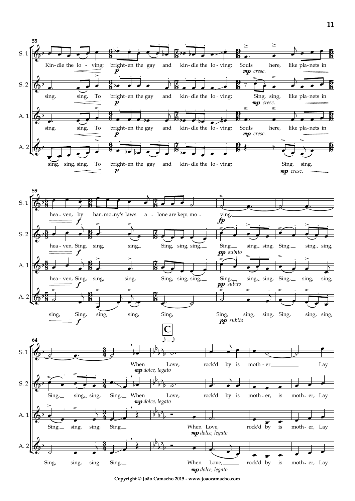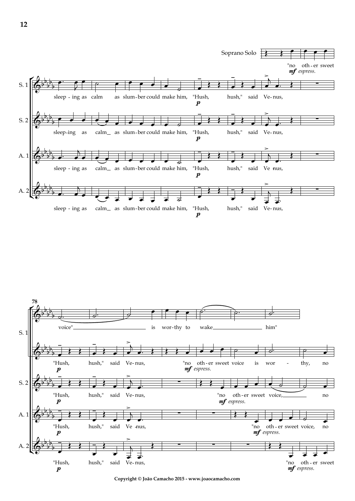



**Copyright © João Camacho 2015 - www.joaocamacho.com**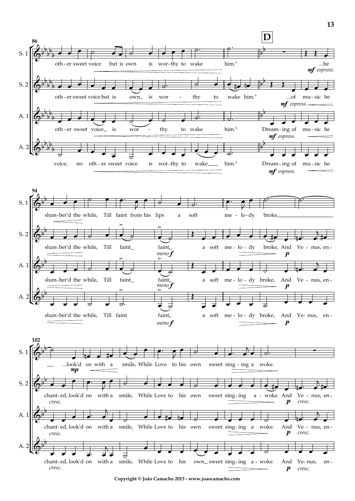

**13**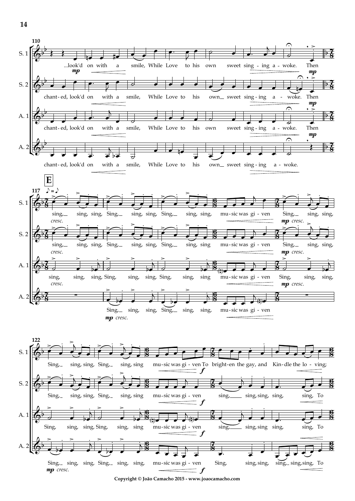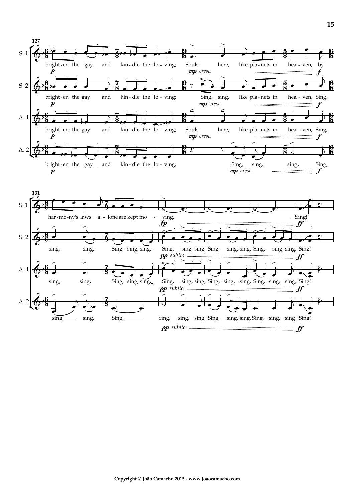